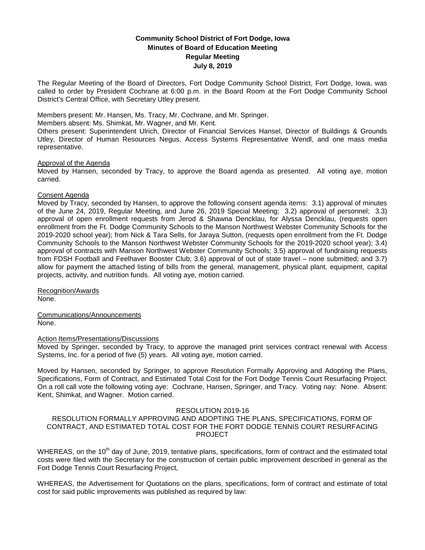# **Community School District of Fort Dodge, Iowa Minutes of Board of Education Meeting Regular Meeting July 8, 2019**

The Regular Meeting of the Board of Directors, Fort Dodge Community School District, Fort Dodge, Iowa, was called to order by President Cochrane at 6:00 p.m. in the Board Room at the Fort Dodge Community School District's Central Office, with Secretary Utley present.

Members present: Mr. Hansen, Ms. Tracy, Mr. Cochrane, and Mr. Springer.

Members absent: Ms. Shimkat, Mr. Wagner, and Mr. Kent.

Others present: Superintendent Ulrich, Director of Financial Services Hansel, Director of Buildings & Grounds Utley, Director of Human Resources Negus, Access Systems Representative Wendl, and one mass media representative.

#### Approval of the Agenda

Moved by Hansen, seconded by Tracy, to approve the Board agenda as presented. All voting aye, motion carried.

# Consent Agenda

Moved by Tracy, seconded by Hansen, to approve the following consent agenda items: 3.1) approval of minutes of the June 24, 2019, Regular Meeting, and June 26, 2019 Special Meeting; 3.2) approval of personnel; 3.3) approval of open enrollment requests from Jerod & Shawna Dencklau, for Alyssa Dencklau, (requests open enrollment from the Ft. Dodge Community Schools to the Manson Northwest Webster Community Schools for the 2019-2020 school year); from Nick & Tara Sells, for Jaraya Sutton, (requests open enrollment from the Ft. Dodge Community Schools to the Manson Northwest Webster Community Schools for the 2019-2020 school year); 3.4) approval of contracts with Manson Northwest Webster Community Schools; 3.5) approval of fundraising requests from FDSH Football and Feelhaver Booster Club; 3.6) approval of out of state travel – none submitted; and 3.7) allow for payment the attached listing of bills from the general, management, physical plant, equipment, capital projects, activity, and nutrition funds. All voting aye, motion carried.

Recognition/Awards None.

Communications/Announcements None.

#### Action Items/Presentations/Discussions

Moved by Springer, seconded by Tracy, to approve the managed print services contract renewal with Access Systems, Inc. for a period of five (5) years. All voting aye, motion carried.

Moved by Hansen, seconded by Springer, to approve Resolution Formally Approving and Adopting the Plans, Specifications, Form of Contract, and Estimated Total Cost for the Fort Dodge Tennis Court Resurfacing Project. On a roll call vote the following voting aye: Cochrane, Hansen, Springer, and Tracy. Voting nay: None. Absent: Kent, Shimkat, and Wagner. Motion carried.

# RESOLUTION 2019-16

# RESOLUTION FORMALLY APPROVING AND ADOPTING THE PLANS, SPECIFICATIONS, FORM OF CONTRACT, AND ESTIMATED TOTAL COST FOR THE FORT DODGE TENNIS COURT RESURFACING PROJECT

WHEREAS, on the 10<sup>th</sup> day of June, 2019, tentative plans, specifications, form of contract and the estimated total costs were filed with the Secretary for the construction of certain public improvement described in general as the Fort Dodge Tennis Court Resurfacing Project,

WHEREAS, the Advertisement for Quotations on the plans, specifications, form of contract and estimate of total cost for said public improvements was published as required by law: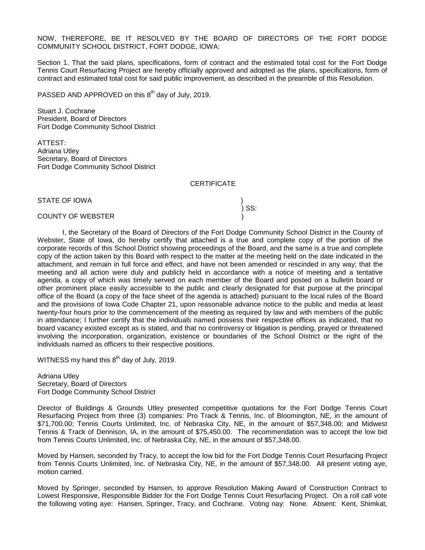NOW, THEREFORE, BE IT RESOLVED BY THE BOARD OF DIRECTORS OF THE FORT DODGE COMMUNITY SCHOOL DISTRICT, FORT DODGE, IOWA:

Section 1. That the said plans, specifications, form of contract and the estimated total cost for the Fort Dodge Tennis Court Resurfacing Project are hereby officially approved and adopted as the plans, specifications, form of contract and estimated total cost for said public improvement, as described in the preamble of this Resolution.

PASSED AND APPROVED on this  $8<sup>th</sup>$  day of July, 2019.

Stuart J. Cochrane President, Board of Directors Fort Dodge Community School District

ATTEST: Adriana Utley Secretary, Board of Directors Fort Dodge Community School District

**CERTIFICATE** 

STATE OF IOWA )

) SS:

#### COUNTY OF WEBSTER )

I, the Secretary of the Board of Directors of the Fort Dodge Community School District in the County of Webster, State of Iowa, do hereby certify that attached is a true and complete copy of the portion of the corporate records of this School District showing proceedings of the Board, and the same is a true and complete copy of the action taken by this Board with respect to the matter at the meeting held on the date indicated in the attachment, and remain in full force and effect, and have not been amended or rescinded in any way; that the meeting and all action were duly and publicly held in accordance with a notice of meeting and a tentative agenda, a copy of which was timely served on each member of the Board and posted on a bulletin board or other prominent place easily accessible to the public and clearly designated for that purpose at the principal office of the Board (a copy of the face sheet of the agenda is attached) pursuant to the local rules of the Board and the provisions of Iowa Code Chapter 21, upon reasonable advance notice to the public and media at least twenty-four hours prior to the commencement of the meeting as required by law and with members of the public in attendance; I further certify that the individuals named possess their respective offices as indicated, that no board vacancy existed except as is stated, and that no controversy or litigation is pending, prayed or threatened involving the incorporation, organization, existence or boundaries of the School District or the right of the individuals named as officers to their respective positions.

WITNESS my hand this  $8<sup>th</sup>$  day of July, 2019.

Adriana Utley Secretary, Board of Directors Fort Dodge Community School District

Director of Buildings & Grounds Utley presented competitive quotations for the Fort Dodge Tennis Court Resurfacing Project from three (3) companies: Pro Track & Tennis, Inc. of Bloomington, NE, in the amount of \$71,700.00; Tennis Courts Unlimited, Inc. of Nebraska City, NE, in the amount of \$57,348.00; and Midwest Tennis & Track of Dennison, IA, in the amount of \$75,450.00. The recommendation was to accept the low bid from Tennis Courts Unlimited, Inc. of Nebraska City, NE, in the amount of \$57,348.00.

Moved by Hansen, seconded by Tracy, to accept the low bid for the Fort Dodge Tennis Court Resurfacing Project from Tennis Courts Unlimited, Inc. of Nebraska City, NE, in the amount of \$57,348.00. All present voting aye, motion carried.

Moved by Springer, seconded by Hansen, to approve Resolution Making Award of Construction Contract to Lowest Responsive, Responsible Bidder for the Fort Dodge Tennis Court Resurfacing Project. On a roll call vote the following voting aye: Hansen, Springer, Tracy, and Cochrane. Voting nay: None. Absent: Kent, Shimkat,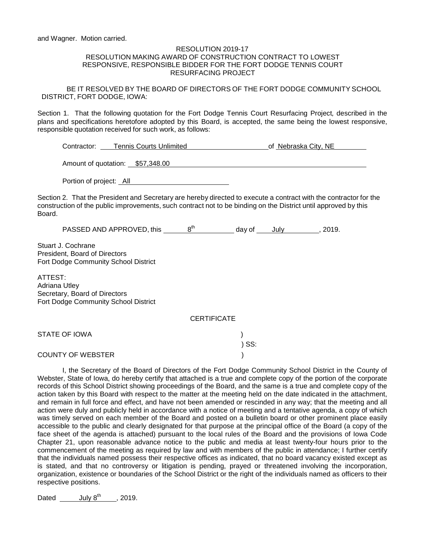and Wagner. Motion carried.

#### RESOLUTION 2019-17 RESOLUTION MAKING AWARD OF CONSTRUCTION CONTRACT TO LOWEST RESPONSIVE, RESPONSIBLE BIDDER FOR THE FORT DODGE TENNIS COURT RESURFACING PROJECT

BE IT RESOLVED BY THE BOARD OF DIRECTORS OF THE FORT DODGE COMMUNITY SCHOOL DISTRICT, FORT DODGE, IOWA:

Section 1. That the following quotation for the Fort Dodge Tennis Court Resurfacing Project*,* described in the plans and specifications heretofore adopted by this Board, is accepted, the same being the lowest responsive, responsible quotation received for such work, as follows:

| Contractor: | <b>Tennis Courts Unlimited</b> | of Nebraska City, NE |
|-------------|--------------------------------|----------------------|
|             |                                |                      |

Amount of quotation: \$57,348.00 

Portion of project: All

Section 2. That the President and Secretary are hereby directed to execute a contract with the contractor for the construction of the public improvements, such contract not to be binding on the District until approved by this Board.

PASSED AND APPROVED, this  $\frac{8^{th}}{10^{th}}$  day of July , 2019.

Stuart J. Cochrane President, Board of Directors Fort Dodge Community School District

ATTEST: Adriana Utley Secretary, Board of Directors Fort Dodge Community School District

**CERTIFICATE** 

) SS:

STATE OF IOWA )

COUNTY OF WEBSTER )

I, the Secretary of the Board of Directors of the Fort Dodge Community School District in the County of Webster, State of Iowa, do hereby certify that attached is a true and complete copy of the portion of the corporate records of this School District showing proceedings of the Board, and the same is a true and complete copy of the action taken by this Board with respect to the matter at the meeting held on the date indicated in the attachment, and remain in full force and effect, and have not been amended or rescinded in any way; that the meeting and all action were duly and publicly held in accordance with a notice of meeting and a tentative agenda, a copy of which was timely served on each member of the Board and posted on a bulletin board or other prominent place easily accessible to the public and clearly designated for that purpose at the principal office of the Board (a copy of the face sheet of the agenda is attached) pursuant to the local rules of the Board and the provisions of Iowa Code Chapter 21, upon reasonable advance notice to the public and media at least twenty-four hours prior to the commencement of the meeting as required by law and with members of the public in attendance; I further certify that the individuals named possess their respective offices as indicated, that no board vacancy existed except as is stated, and that no controversy or litigation is pending, prayed or threatened involving the incorporation, organization, existence or boundaries of the School District or the right of the individuals named as officers to their respective positions.

Dated July  $8^{th}$ , 2019.